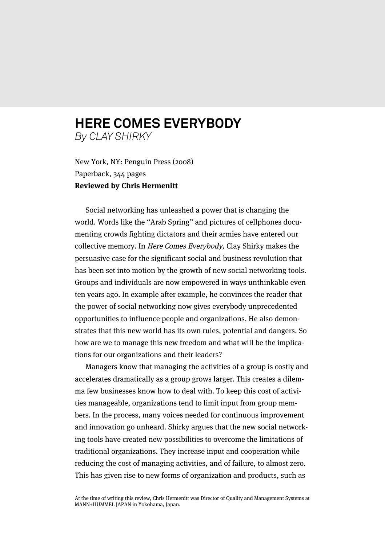## **HERE COMES EVERYBODY** *By CLAY SHIRKY*

New York, NY: Penguin Press (2008) Paperback, 344 pages **Reviewed by Chris Hermenitt**

Social networking has unleashed a power that is changing the world. Words like the "Arab Spring" and pictures of cellphones documenting crowds fighting dictators and their armies have entered our collective memory. In Here Comes Everybody, Clay Shirky makes the persuasive case for the significant social and business revolution that has been set into motion by the growth of new social networking tools. Groups and individuals are now empowered in ways unthinkable even ten years ago. In example after example, he convinces the reader that the power of social networking now gives everybody unprecedented opportunities to influence people and organizations. He also demonstrates that this new world has its own rules, potential and dangers. So how are we to manage this new freedom and what will be the implications for our organizations and their leaders?

Managers know that managing the activities of a group is costly and accelerates dramatically as a group grows larger. This creates a dilemma few businesses know how to deal with. To keep this cost of activities manageable, organizations tend to limit input from group members. In the process, many voices needed for continuous improvement and innovation go unheard. Shirky argues that the new social networking tools have created new possibilities to overcome the limitations of traditional organizations. They increase input and cooperation while reducing the cost of managing activities, and of failure, to almost zero. This has given rise to new forms of organization and products, such as

At the time of writing this review, Chris Hermenitt was Director of Quality and Management Systems at MANN+HUMMEL JAPAN in Yokohama, Japan.